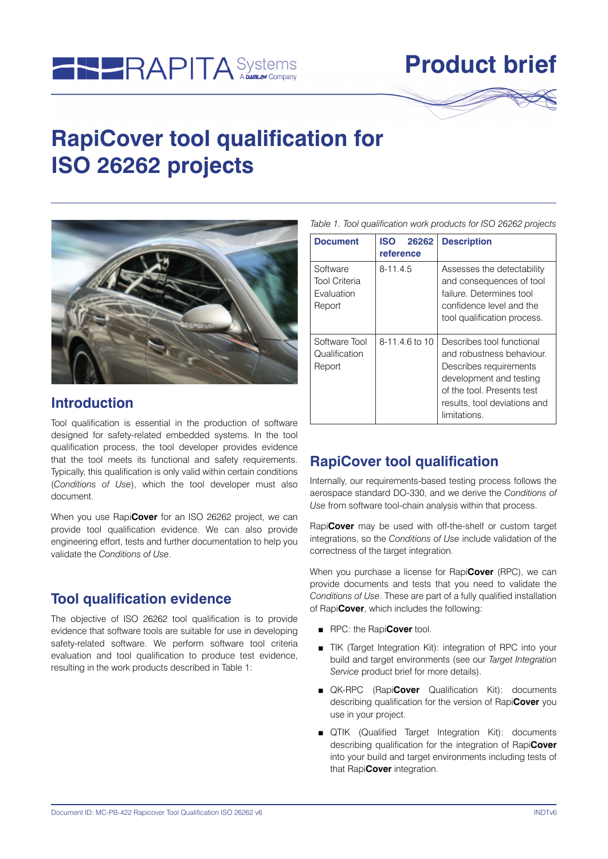

# **Product brief**

## **RapiCover tool qualification for ISO 26262 projects**



#### **Introduction**

Tool qualification is essential in the production of software designed for safety-related embedded systems. In the tool qualification process, the tool developer provides evidence that the tool meets its functional and safety requirements. Typically, this qualification is only valid within certain conditions (*Conditions of Use*), which the tool developer must also document.

When you use Rapi**Cover** for an ISO 26262 project, we can provide tool qualification evidence. We can also provide engineering effort, tests and further documentation to help you validate the *Conditions of Use*.

#### **Tool qualification evidence**

The objective of ISO 26262 tool qualification is to provide evidence that software tools are suitable for use in developing safety-related software. We perform software tool criteria evaluation and tool qualification to produce test evidence, resulting in the work products described in Table 1:

*Table 1. Tool qualification work products for ISO 26262 projects*

| <b>Document</b>                                          | <b>ISO</b><br>26262<br>reference | <b>Description</b>                                                                                                                                                                        |  |
|----------------------------------------------------------|----------------------------------|-------------------------------------------------------------------------------------------------------------------------------------------------------------------------------------------|--|
| Software<br><b>Tool Criteria</b><br>Fvaluation<br>Report | $8 - 11.4.5$                     | Assesses the detectability<br>and consequences of tool<br>failure. Determines tool<br>confidence level and the<br>tool qualification process.                                             |  |
| Software Tool<br>Qualification<br>Report                 | $8 - 11.4.6$ to 10               | Describes tool functional<br>and robustness behaviour.<br>Describes requirements<br>development and testing<br>of the tool. Presents test<br>results, tool deviations and<br>limitations. |  |

### **RapiCover tool qualification**

Internally, our requirements-based testing process follows the aerospace standard DO-330, and we derive the *Conditions of Use* from software tool-chain analysis within that process.

Rapi**Cover** may be used with off-the-shelf or custom target integrations, so the *Conditions of Use* include validation of the correctness of the target integration.

When you purchase a license for Rapi**Cover** (RPC), we can provide documents and tests that you need to validate the *Conditions of Use*. These are part of a fully qualified installation of Rapi**Cover**, which includes the following:

- RPC: the Rapi**Cover** tool.
- TIK (Target Integration Kit): integration of RPC into your build and target environments (see our *Target Integration Service* product brief for more details).
- QK-RPC (Rapi**Cover** Qualification Kit): documents describing qualification for the version of Rapi**Cover** you use in your project.
- QTIK (Qualified Target Integration Kit): documents describing qualification for the integration of Rapi**Cover** into your build and target environments including tests of that Rapi**Cover** integration.